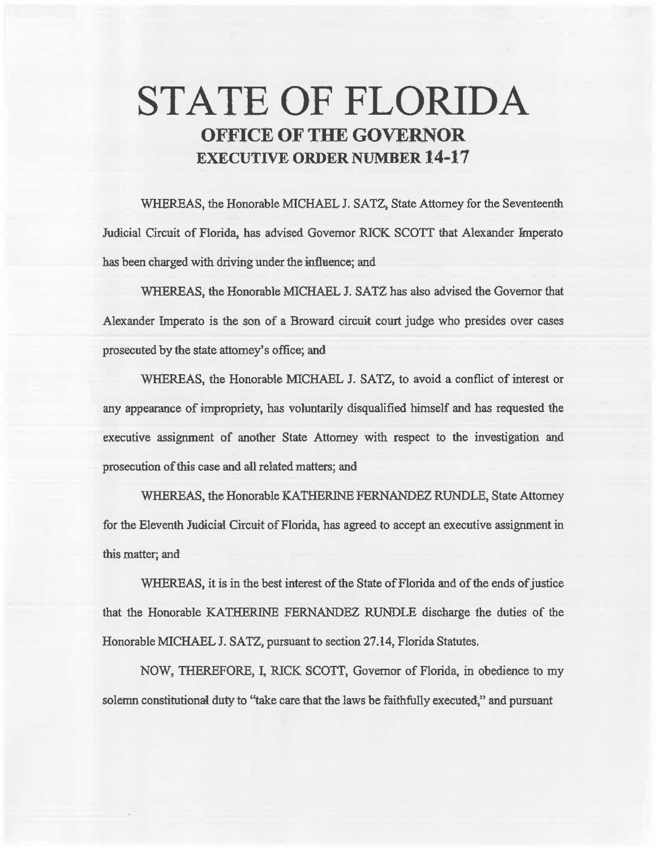# **STATE OF FLORIDA OFFICE OF THE GOVERNOR EXECUTIVE ORDER NUMBER 14·17**

WHEREAS, the Honorable MICHAEL J. SATZ, State Attorney for the Seventeenth Judicial Circuit of Florida, has advised Governor RICK SCOTT that Alexander Imperato has been charged with driving under the influence; and

WHEREAS, the Honorable MICHAEL J. SATZ has also advised the Governor that Alexander Imperato is the son of a Broward circuit court judge who presides over cases prosecuted by the state attorney's office; and

WHEREAS, the Honorable MICHAEL J. SATZ, to avoid a conflict of interest or any appearance of impropriety, bas voluntarily disqualified himself and has requested the executive assignment of another State Attorney with respect to the investigation and prosecution of this case and aU related matters; and

WHEREAS, the Honorable KATHERINE FERNANDEZ RUNDLE, State Attorney for the Eleventh Judicial Circuit of Florida, has agreed to accept an executive assignment in this matter; and

WHEREAS, it is in the best interest of the State of Florida and of the ends of justice that the Honorable KATHERINE FERNANDEZ RUNDLE discharge the duties of the Honorable MICHAEL J. SATZ, pursuant to section 27.14, Florida Statutes.

NOW, THEREFORE, I, RICK SCOTT, Governor of Florida, in obedience to my solemn constitutional duty to "take care that the laws be faithfully executed," and pursuant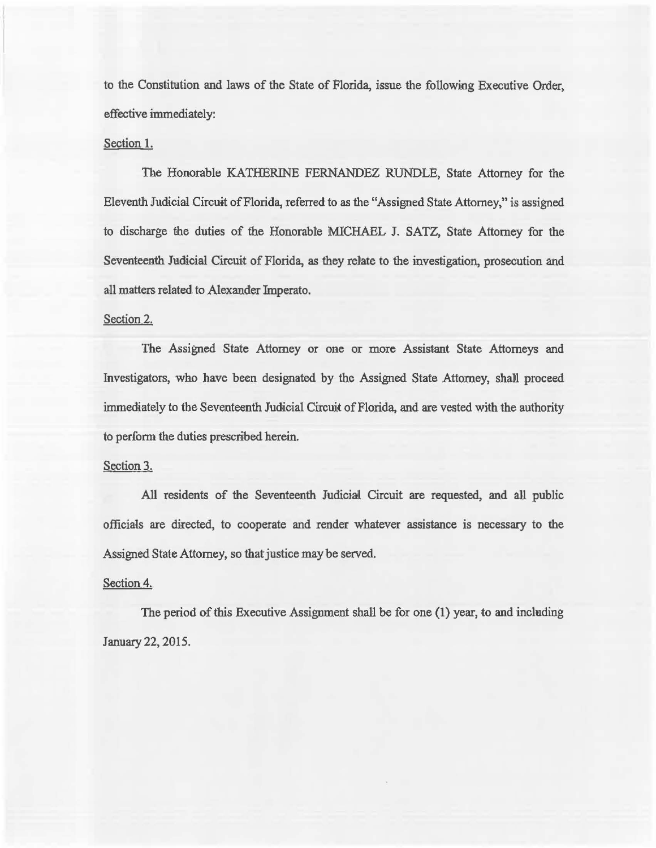to the Constitution and laws of the State of Florida, issue the following Executive Order, effective immediately:

# Section 1.

The Honorable KATHERINE FERNANDEZ RUNDLE, State Attorney for the Eleventh Judicial Circuit of Florida, referred to as the "Assigned State Attorney," is assigned to discharge the duties of the Honorable MICHAEL J. SATZ, State Attorney for the Seventeenth Judicial Circuit of Florida, as they relate to the investigation, prosecution and all matters related to Alexander Imperato.

## Section 2.

The Assigned State Attorney or one or more Assistant State Attorneys and Investigators, who have been designated by the Assigned State Attorney, shall proceed immediately to the Seventeenth Judicial Circuit of Florida, and are vested with the authority to perform the duties prescribed herein.

### Section 3.

AU residents of the Seventeenth Judicial Circuit are requested, and all public officials are directed, to cooperate and render whatever assistance is necessary to the Assigned State Attorney, so that justice may be served.

### Section 4.

The period of this Executive Assignment shall be for one (1) year, to and including January 22,2015.